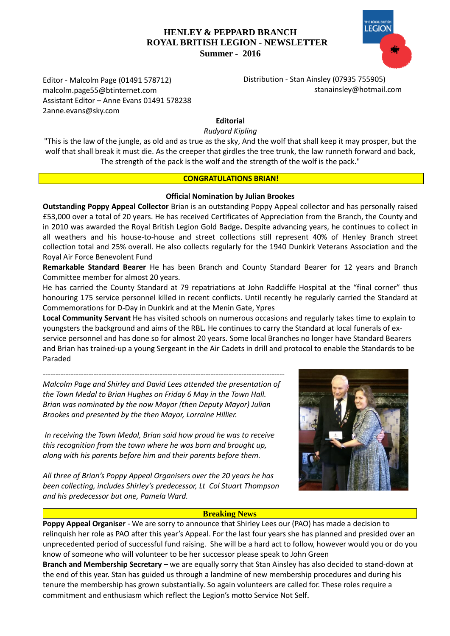# **HENLEY & PEPPARD BRANCH ROYAL BRITISH LEGION** - **NEWSLETTER Summer - 2016**



 Distribution - Stan Ainsley (07935 755905) [stanainsley@hotmail.com](mailto:stanainsley@hotmail.com)

Editor - Malcolm Page (01491 578712) malcolm.page55@btinternet.com Assistant Editor – Anne Evans 01491 578238 2anne.evans@sky.com

# **Editorial**

#### *Rudyard Kipling*

"This is the law of the jungle, as old and as true as the sky, And the wolf that shall keep it may prosper, but the wolf that shall break it must die. As the creeper that girdles the tree trunk, the law runneth forward and back, The strength of the pack is the wolf and the strength of the wolf is the pack."

#### **CONGRATULATIONS BRIAN!**

#### **Official Nomination by Julian Brookes**

**Outstanding Poppy Appeal Collector** Brian is an outstanding Poppy Appeal collector and has personally raised £53,000 over a total of 20 years. He has received Certificates of Appreciation from the Branch, the County and in 2010 was awarded the Royal British Legion Gold Badge**.** Despite advancing years, he continues to collect in all weathers and his house-to-house and street collections still represent 40% of Henley Branch street collection total and 25% overall. He also collects regularly for the 1940 Dunkirk Veterans Association and the Royal Air Force Benevolent Fund

**Remarkable Standard Bearer** He has been Branch and County Standard Bearer for 12 years and Branch Committee member for almost 20 years.

He has carried the County Standard at 79 repatriations at John Radcliffe Hospital at the "final corner" thus honouring 175 service personnel killed in recent conflicts. Until recently he regularly carried the Standard at Commemorations for D-Day in Dunkirk and at the Menin Gate, Ypres

**Local Community Servant** He has visited schools on numerous occasions and regularly takes time to explain to youngsters the background and aims of the RBL**.** He continues to carry the Standard at local funerals of exservice personnel and has done so for almost 20 years. Some local Branches no longer have Standard Bearers and Brian has trained-up a young Sergeant in the Air Cadets in drill and protocol to enable the Standards to be Paraded

*-----------------------------------------------------------------------------------------------*

*Malcolm Page and Shirley and David Lees attended the presentation of the Town Medal to Brian Hughes on Friday 6 May in the Town Hall. Brian was nominated by the now Mayor (then Deputy Mayor) Julian Brookes and presented by the then Mayor, Lorraine Hillier.* 

*In receiving the Town Medal, Brian said how proud he was to receive this recognition from the town where he was born and brought up, along with his parents before him and their parents before them.* 

*All three of Brian's Poppy Appeal Organisers over the 20 years he has been collecting, includes Shirley's predecessor, Lt Col Stuart Thompson and his predecessor but one, Pamela Ward.*

#### **Breaking News**

**Poppy Appeal Organiser** - We are sorry to announce that Shirley Lees our (PAO) has made a decision to relinquish her role as PAO after this year's Appeal. For the last four years she has planned and presided over an unprecedented period of successful fund raising. She will be a hard act to follow, however would you or do you know of someone who will volunteer to be her successor please speak to John Green

**Branch and Membership Secretary –** we are equally sorry that Stan Ainsley has also decided to stand-down at the end of this year. Stan has guided us through a landmine of new membership procedures and during his tenure the membership has grown substantially. So again volunteers are called for. These roles require a commitment and enthusiasm which reflect the Legion's motto Service Not Self.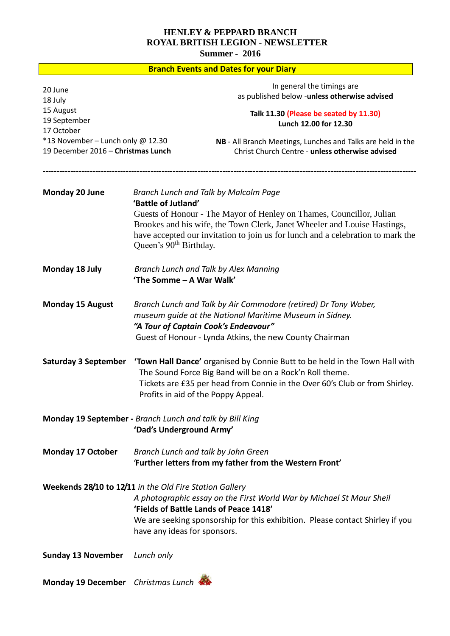# **HENLEY & PEPPARD BRANCH ROYAL BRITISH LEGION** - **NEWSLETTER**

**Summer - 2016**

| <b>Branch Events and Dates for your Diary</b>                                                                                                                                                                                                                                              |                                                                                                                                                                                                                                                                     |                                                                                                                                                                                                                                                                              |
|--------------------------------------------------------------------------------------------------------------------------------------------------------------------------------------------------------------------------------------------------------------------------------------------|---------------------------------------------------------------------------------------------------------------------------------------------------------------------------------------------------------------------------------------------------------------------|------------------------------------------------------------------------------------------------------------------------------------------------------------------------------------------------------------------------------------------------------------------------------|
| 20 June<br>18 July                                                                                                                                                                                                                                                                         |                                                                                                                                                                                                                                                                     | In general the timings are<br>as published below -unless otherwise advised                                                                                                                                                                                                   |
| 15 August<br>19 September<br>17 October                                                                                                                                                                                                                                                    |                                                                                                                                                                                                                                                                     | Talk 11.30 (Please be seated by 11.30)<br>Lunch 12.00 for 12.30                                                                                                                                                                                                              |
| *13 November - Lunch only @ 12.30<br>19 December 2016 - Christmas Lunch                                                                                                                                                                                                                    |                                                                                                                                                                                                                                                                     | NB - All Branch Meetings, Lunches and Talks are held in the<br>Christ Church Centre - unless otherwise advised                                                                                                                                                               |
| <b>Monday 20 June</b>                                                                                                                                                                                                                                                                      | 'Battle of Jutland'<br>Queen's 90 <sup>th</sup> Birthday.                                                                                                                                                                                                           | Branch Lunch and Talk by Malcolm Page<br>Guests of Honour - The Mayor of Henley on Thames, Councillor, Julian<br>Brookes and his wife, the Town Clerk, Janet Wheeler and Louise Hastings,<br>have accepted our invitation to join us for lunch and a celebration to mark the |
| Monday 18 July                                                                                                                                                                                                                                                                             | Branch Lunch and Talk by Alex Manning<br>'The Somme - A War Walk'                                                                                                                                                                                                   |                                                                                                                                                                                                                                                                              |
| <b>Monday 15 August</b>                                                                                                                                                                                                                                                                    | Branch Lunch and Talk by Air Commodore (retired) Dr Tony Wober,<br>museum guide at the National Maritime Museum in Sidney.<br>"A Tour of Captain Cook's Endeavour"<br>Guest of Honour - Lynda Atkins, the new County Chairman                                       |                                                                                                                                                                                                                                                                              |
| <b>Saturday 3 September</b>                                                                                                                                                                                                                                                                | <b>Town Hall Dance'</b> organised by Connie Butt to be held in the Town Hall with<br>The Sound Force Big Band will be on a Rock'n Roll theme.<br>Tickets are £35 per head from Connie in the Over 60's Club or from Shirley.<br>Profits in aid of the Poppy Appeal. |                                                                                                                                                                                                                                                                              |
| Monday 19 September - Branch Lunch and talk by Bill King<br>'Dad's Underground Army'                                                                                                                                                                                                       |                                                                                                                                                                                                                                                                     |                                                                                                                                                                                                                                                                              |
| <b>Monday 17 October</b>                                                                                                                                                                                                                                                                   | Branch Lunch and talk by John Green<br>'Further letters from my father from the Western Front'                                                                                                                                                                      |                                                                                                                                                                                                                                                                              |
| Weekends 28/10 to 12/11 in the Old Fire Station Gallery<br>A photographic essay on the First World War by Michael St Maur Sheil<br>'Fields of Battle Lands of Peace 1418'<br>We are seeking sponsorship for this exhibition. Please contact Shirley if you<br>have any ideas for sponsors. |                                                                                                                                                                                                                                                                     |                                                                                                                                                                                                                                                                              |
| <b>Sunday 13 November</b>                                                                                                                                                                                                                                                                  | Lunch only                                                                                                                                                                                                                                                          |                                                                                                                                                                                                                                                                              |
| Monday 19 December Christmas Lunch                                                                                                                                                                                                                                                         |                                                                                                                                                                                                                                                                     |                                                                                                                                                                                                                                                                              |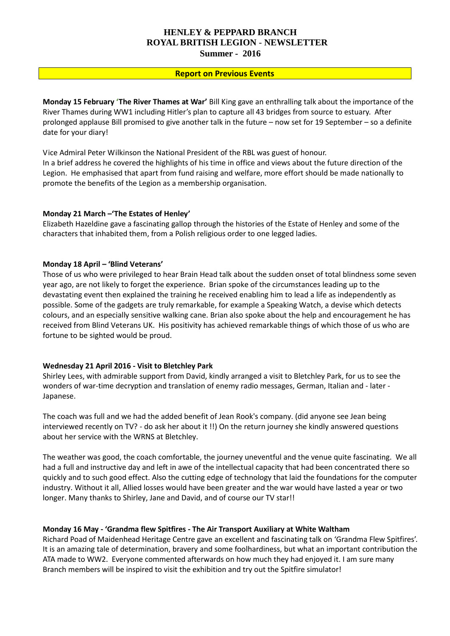## **HENLEY & PEPPARD BRANCH ROYAL BRITISH LEGION** - **NEWSLETTER Summer - 2016**

#### **Report on Previous Events**

**Monday 15 February 'The River Thames at War'** Bill King gave an enthralling talk about the importance of the River Thames during WW1 including Hitler's plan to capture all 43 bridges from source to estuary. After prolonged applause Bill promised to give another talk in the future – now set for 19 September – so a definite date for your diary!

Vice Admiral Peter Wilkinson the National President of the RBL was guest of honour. In a brief address he covered the highlights of his time in office and views about the future direction of the Legion. He emphasised that apart from fund raising and welfare, more effort should be made nationally to promote the benefits of the Legion as a membership organisation.

#### **Monday 21 March –'The Estates of Henley'**

Elizabeth Hazeldine gave a fascinating gallop through the histories of the Estate of Henley and some of the characters that inhabited them, from a Polish religious order to one legged ladies.

#### **Monday 18 April – 'Blind Veterans'**

Those of us who were privileged to hear Brain Head talk about the sudden onset of total blindness some seven year ago, are not likely to forget the experience. Brian spoke of the circumstances leading up to the devastating event then explained the training he received enabling him to lead a life as independently as possible. Some of the gadgets are truly remarkable, for example a Speaking Watch, a devise which detects colours, and an especially sensitive walking cane. Brian also spoke about the help and encouragement he has received from Blind Veterans UK. His positivity has achieved remarkable things of which those of us who are fortune to be sighted would be proud.

#### **Wednesday 21 April 2016 - Visit to Bletchley Park**

Shirley Lees, with admirable support from David, kindly arranged a visit to Bletchley Park, for us to see the wonders of war-time decryption and translation of enemy radio messages, German, Italian and - later - Japanese.

The coach was full and we had the added benefit of Jean Rook's company. (did anyone see Jean being interviewed recently on TV? - do ask her about it !!) On the return journey she kindly answered questions about her service with the WRNS at Bletchley.

The weather was good, the coach comfortable, the journey uneventful and the venue quite fascinating. We all had a full and instructive day and left in awe of the intellectual capacity that had been concentrated there so quickly and to such good effect. Also the cutting edge of technology that laid the foundations for the computer industry. Without it all, Allied losses would have been greater and the war would have lasted a year or two longer. Many thanks to Shirley, Jane and David, and of course our TV star!!

#### **Monday 16 May - 'Grandma flew Spitfires - The Air Transport Auxiliary at White Waltham**

Richard Poad of Maidenhead Heritage Centre gave an excellent and fascinating talk on 'Grandma Flew Spitfires'. It is an amazing tale of determination, bravery and some foolhardiness, but what an important contribution the ATA made to WW2. Everyone commented afterwards on how much they had enjoyed it. I am sure many Branch members will be inspired to visit the exhibition and try out the Spitfire simulator!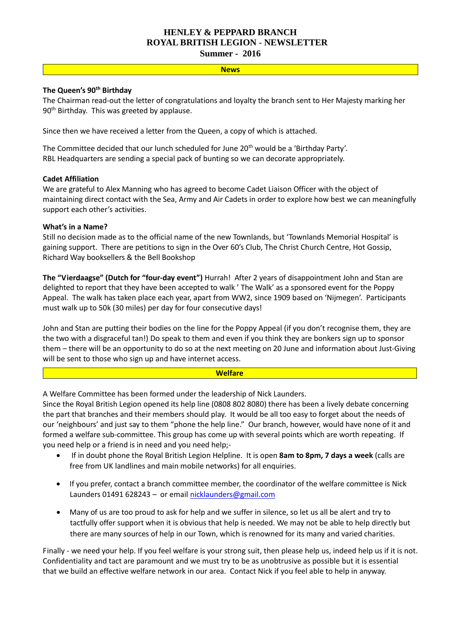# **HENLEY & PEPPARD BRANCH ROYAL BRITISH LEGION** - **NEWSLETTER**

**Summer - 2016**

# **News**

## **The Queen's 90th Birthday**

The Chairman read-out the letter of congratulations and loyalty the branch sent to Her Majesty marking her 90<sup>th</sup> Birthday. This was greeted by applause.

Since then we have received a letter from the Queen, a copy of which is attached.

The Committee decided that our lunch scheduled for June 20<sup>th</sup> would be a 'Birthday Party'. RBL Headquarters are sending a special pack of bunting so we can decorate appropriately.

# **Cadet Affiliation**

We are grateful to Alex Manning who has agreed to become Cadet Liaison Officer with the object of maintaining direct contact with the Sea, Army and Air Cadets in order to explore how best we can meaningfully support each other's activities.

# **What's in a Name?**

Still no decision made as to the official name of the new Townlands, but 'Townlands Memorial Hospital' is gaining support. There are petitions to sign in the Over 60's Club, The Christ Church Centre, Hot Gossip, Richard Way booksellers & the Bell Bookshop

**The "Vierdaagse" (Dutch for "four-day event")** Hurrah! After 2 years of disappointment John and Stan are delighted to report that they have been accepted to walk ' The Walk' as a sponsored event for the Poppy Appeal. The walk has taken place each year, apart from WW2, since 1909 based on 'Nijmegen'. Participants must walk up to 50k (30 miles) per day for four consecutive days!

John and Stan are putting their bodies on the line for the Poppy Appeal (if you don't recognise them, they are the two with a disgraceful tan!) Do speak to them and even if you think they are bonkers sign up to sponsor them – there will be an opportunity to do so at the next meeting on 20 June and information about Just-Giving will be sent to those who sign up and have internet access.

#### **Welfare**

A Welfare Committee has been formed under the leadership of Nick Launders.

Since the Royal British Legion opened its help line (0808 802 8080) there has been a lively debate concerning the part that branches and their members should play. It would be all too easy to forget about the needs of our 'neighbours' and just say to them "phone the help line." Our branch, however, would have none of it and formed a welfare sub-committee. This group has come up with several points which are worth repeating. If you need help or a friend is in need and you need help;-

- If in doubt phone the Royal British Legion Helpline. It is open **8am to 8pm, 7 days a week** (calls are free from UK landlines and main mobile networks) for all enquiries.
- If you prefer, contact a branch committee member, the coordinator of the welfare committee is Nick Launders 01491 628243 - or emai[l nicklaunders@gmail.com](mailto:nicklaunders@gmail.com)
- Many of us are too proud to ask for help and we suffer in silence, so let us all be alert and try to tactfully offer support when it is obvious that help is needed. We may not be able to help directly but there are many sources of help in our Town, which is renowned for its many and varied charities.

Finally - we need your help. If you feel welfare is your strong suit, then please help us, indeed help us if it is not. Confidentiality and tact are paramount and we must try to be as unobtrusive as possible but it is essential that we build an effective welfare network in our area. Contact Nick if you feel able to help in anyway.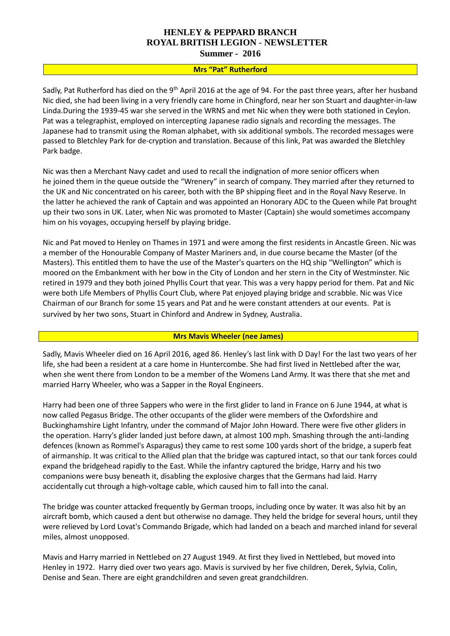# **HENLEY & PEPPARD BRANCH ROYAL BRITISH LEGION** - **NEWSLETTER**

**Summer - 2016**

### **Mrs "Pat" Rutherford**

Sadly, Pat Rutherford has died on the 9<sup>th</sup> April 2016 at the age of 94. For the past three years, after her husband Nic died, she had been living in a very friendly care home in Chingford, near her son Stuart and daughter-in-law Linda.During the 1939-45 war she served in the WRNS and met Nic when they were both stationed in Ceylon. Pat was a telegraphist, employed on intercepting Japanese radio signals and recording the messages. The Japanese had to transmit using the Roman alphabet, with six additional symbols. The recorded messages were passed to Bletchley Park for de-cryption and translation. Because of this link, Pat was awarded the Bletchley Park badge.

Nic was then a Merchant Navy cadet and used to recall the indignation of more senior officers when he joined them in the queue outside the "Wrenery" in search of company. They married after they returned to the UK and Nic concentrated on his career, both with the BP shipping fleet and in the Royal Navy Reserve. In the latter he achieved the rank of Captain and was appointed an Honorary ADC to the Queen while Pat brought up their two sons in UK. Later, when Nic was promoted to Master (Captain) she would sometimes accompany him on his voyages, occupying herself by playing bridge.

Nic and Pat moved to Henley on Thames in 1971 and were among the first residents in Ancastle Green. Nic was a member of the Honourable Company of Master Mariners and, in due course became the Master (of the Masters). This entitled them to have the use of the Master's quarters on the HQ ship "Wellington" which is moored on the Embankment with her bow in the City of London and her stern in the City of Westminster. Nic retired in 1979 and they both joined Phyllis Court that year. This was a very happy period for them. Pat and Nic were both Life Members of Phyllis Court Club, where Pat enjoyed playing bridge and scrabble. Nic was Vice Chairman of our Branch for some 15 years and Pat and he were constant attenders at our events. Pat is survived by her two sons, Stuart in Chinford and Andrew in Sydney, Australia.

#### **Mrs Mavis Wheeler (nee James)**

Sadly, Mavis Wheeler died on 16 April 2016, aged 86. Henley's last link with D Day! For the last two years of her life, she had been a resident at a care home in Huntercombe. She had first lived in Nettlebed after the war, when she went there from London to be a member of the Womens Land Army. It was there that she met and married Harry Wheeler, who was a Sapper in the Royal Engineers.

Harry had been one of three Sappers who were in the first glider to land in France on 6 June 1944, at what is now called Pegasus Bridge. The other occupants of the glider were members of the Oxfordshire and Buckinghamshire Light Infantry, under the command of Major John Howard. There were five other gliders in the operation. Harry's glider landed just before dawn, at almost 100 mph. Smashing through the anti-landing defences (known as Rommel's Asparagus) they came to rest some 100 yards short of the bridge, a superb feat of airmanship. It was critical to the Allied plan that the bridge was captured intact, so that our tank forces could expand the bridgehead rapidly to the East. While the infantry captured the bridge, Harry and his two companions were busy beneath it, disabling the explosive charges that the Germans had laid. Harry accidentally cut through a high-voltage cable, which caused him to fall into the canal.

The bridge was counter attacked frequently by German troops, including once by water. It was also hit by an aircraft bomb, which caused a dent but otherwise no damage. They held the bridge for several hours, until they were relieved by Lord Lovat's Commando Brigade, which had landed on a beach and marched inland for several miles, almost unopposed.

Mavis and Harry married in Nettlebed on 27 August 1949. At first they lived in Nettlebed, but moved into Henley in 1972. Harry died over two years ago. Mavis is survived by her five children, Derek, Sylvia, Colin, Denise and Sean. There are eight grandchildren and seven great grandchildren.